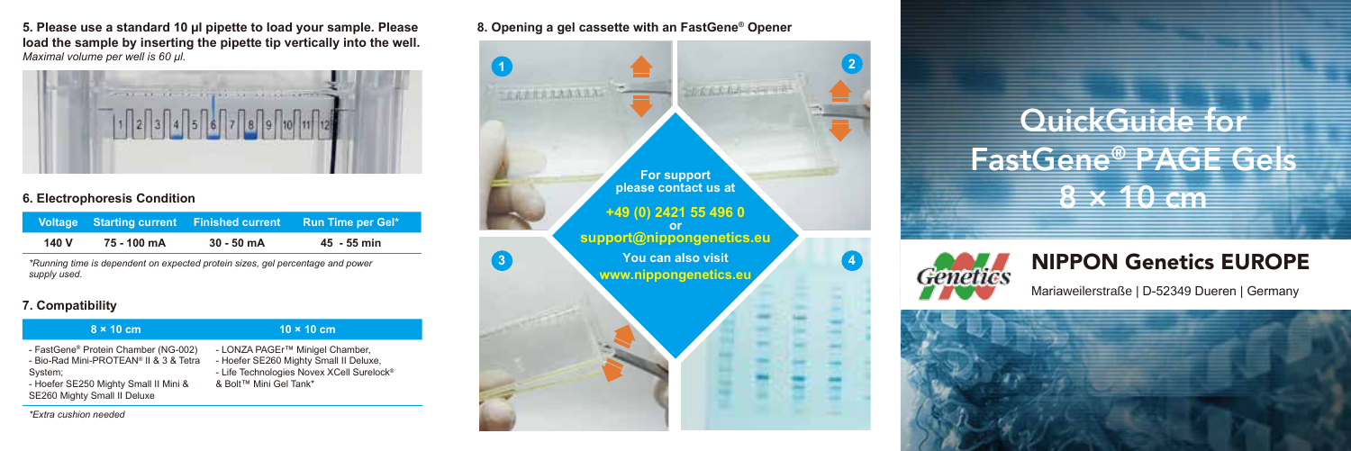**5. Please use a standard 10 µl pipette to load your sample. Please load the sample by inserting the pipette tip vertically into the well.**  *Maximal volume per well is 60 µl.*



|       |             | Voltage Starting current Finished current | <b>Run Time per Gel*</b> |
|-------|-------------|-------------------------------------------|--------------------------|
| 140 V | 75 - 100 mA | $30 - 50$ mA                              | 45 - 55 min              |

*\*Running time is dependent on expected protein sizes, gel percentage and power supply used.* 

## **7. Compatibility**

| $8 \times 10$ cm                                                                                                                                                   | $10 \times 10$ cm                                                                                                                                            |
|--------------------------------------------------------------------------------------------------------------------------------------------------------------------|--------------------------------------------------------------------------------------------------------------------------------------------------------------|
| - FastGene® Protein Chamber (NG-002)<br>- Bio-Rad Mini-PROTEAN® II & 3 & Tetra<br>System;<br>- Hoefer SE250 Mighty Small II Mini &<br>SE260 Mighty Small II Deluxe | - LONZA PAGEr™ Minigel Chamber,<br>- Hoefer SE260 Mighty Small II Deluxe,<br>- Life Technologies Novex XCell Surelock <sup>®</sup><br>& Bolt™ Mini Gel Tank* |

*\*Extra cushion needed*

**8. Opening a gel cassette with an FastGene® Opener**



## QuickGuide for FastGene® PAGE Gels



## NIPPON Genetics EUROPE

Mariaweilerstraße | D-52349 Dueren | Germany